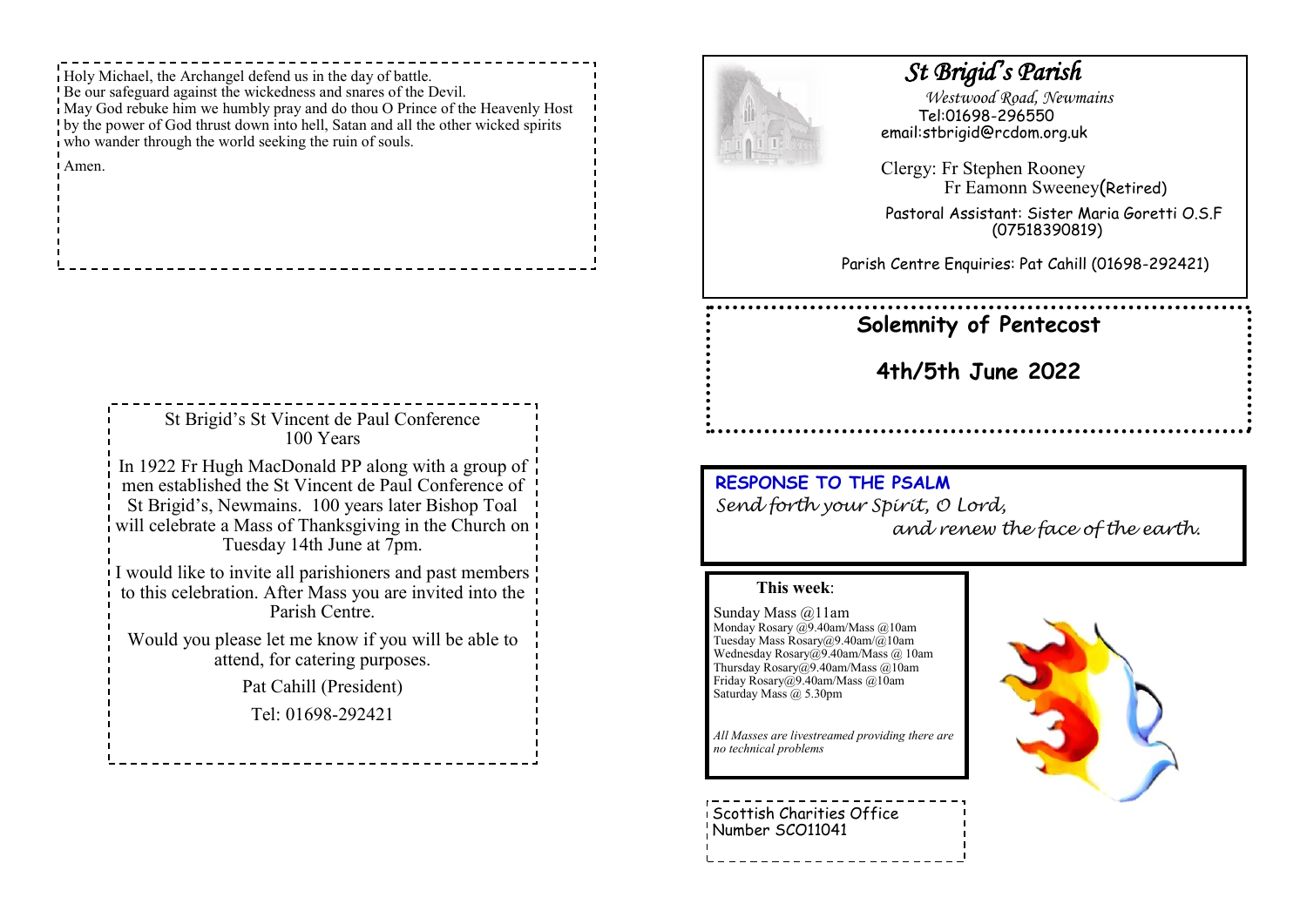Holy Michael, the Archangel defend us in the day of battle. Be our safeguard against the wickedness and snares of the Devil. May God rebuke him we humbly pray and do thou O Prince of the Heavenly Host by the power of God thrust down into hell, Satan and all the other wicked spirits who wander through the world seeking the ruin of souls.

Amen.

| St Brigid's St Vincent de Paul Conference<br>100 Years                                                                                                                                                                                                  |
|---------------------------------------------------------------------------------------------------------------------------------------------------------------------------------------------------------------------------------------------------------|
| In 1922 Fr Hugh MacDonald PP along with a group of<br>men established the St Vincent de Paul Conference of<br>St Brigid's, Newmains. 100 years later Bishop Toal<br>will celebrate a Mass of Thanksgiving in the Church on<br>Tuesday 14th June at 7pm. |
| I would like to invite all parishioners and past members<br>to this celebration. After Mass you are invited into the<br>Parish Centre.                                                                                                                  |
| Would you please let me know if you will be able to<br>attend, for catering purposes.                                                                                                                                                                   |
| Pat Cahill (President)                                                                                                                                                                                                                                  |
| Tel: 01698-292421                                                                                                                                                                                                                                       |
|                                                                                                                                                                                                                                                         |



## *St Brigid's Parish*

 *Westwood Road, Newmains* Tel:01698-296550 email:stbrigid@rcdom.org.uk

Clergy: Fr Stephen Rooney Fr Eamonn Sweeney(Retired)

Pastoral Assistant: Sister Maria Goretti O.S.F (07518390819)

Parish Centre Enquiries: Pat Cahill (01698-292421)

## **Solemnity of Pentecost**

**4th/5th June 2022**

## **RESPONSE TO THE PSALM**  *Send forth your Spirit, O Lord, and renew the face of the earth.*

## **This week**:

Sunday Mass @11am Monday Rosary @9.40am/Mass @10am Tuesday Mass Rosary@9.40am/@10am Wednesday Rosary@9.40am/Mass @ 10am Thursday Rosary@9.40am/Mass @10am Friday Rosary@9.40am/Mass @10am Saturday Mass @ 5.30pm

*All Masses are livestreamed providing there are no technical problems*

Scottish Charities Office Number SCO11041